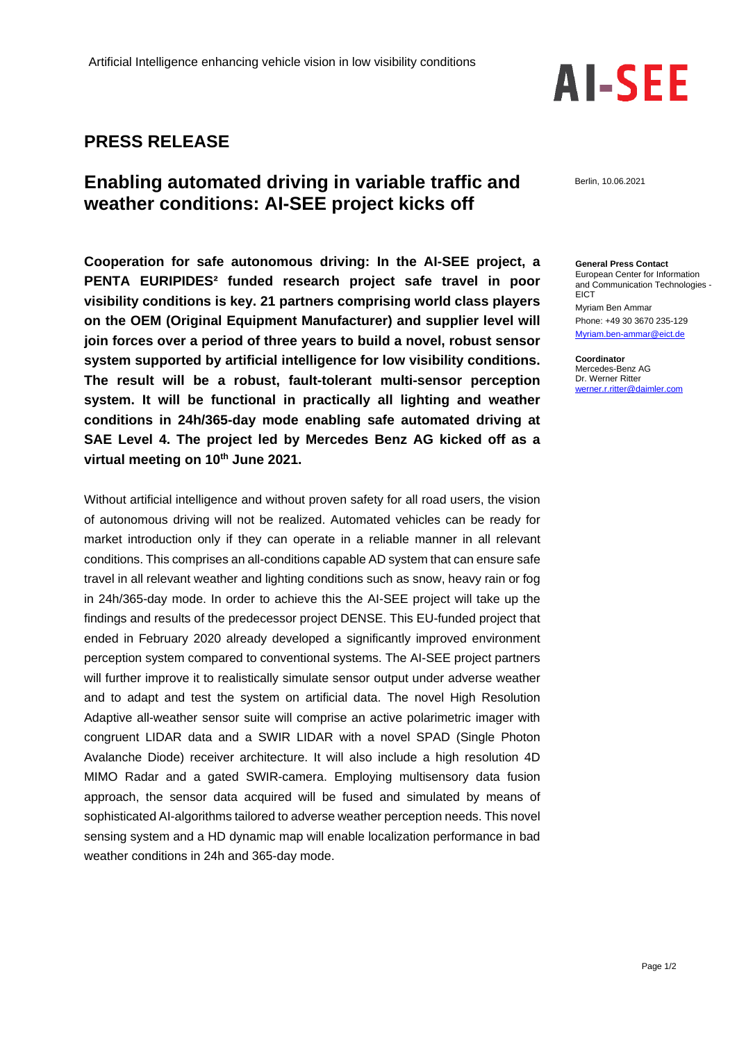## **PRESS RELEASE**

## **Enabling automated driving in variable traffic and weather conditions: AI-SEE project kicks off**

**Cooperation for safe autonomous driving: In the AI-SEE project, a PENTA EURIPIDES² funded research project safe travel in poor visibility conditions is key. 21 partners comprising world class players on the OEM (Original Equipment Manufacturer) and supplier level will join forces over a period of three years to build a novel, robust sensor system supported by artificial intelligence for low visibility conditions. The result will be a robust, fault-tolerant multi-sensor perception system. It will be functional in practically all lighting and weather conditions in 24h/365-day mode enabling safe automated driving at SAE Level 4. The project led by Mercedes Benz AG kicked off as a virtual meeting on 10th June 2021.**

Without artificial intelligence and without proven safety for all road users, the vision of autonomous driving will not be realized. Automated vehicles can be ready for market introduction only if they can operate in a reliable manner in all relevant conditions. This comprises an all-conditions capable AD system that can ensure safe travel in all relevant weather and lighting conditions such as snow, heavy rain or fog in 24h/365-day mode. In order to achieve this the AI-SEE project will take up the findings and results of the predecessor project DENSE. This EU-funded project that ended in February 2020 already developed a significantly improved environment perception system compared to conventional systems. The AI-SEE project partners will further improve it to realistically simulate sensor output under adverse weather and to adapt and test the system on artificial data. The novel High Resolution Adaptive all-weather sensor suite will comprise an active polarimetric imager with congruent LIDAR data and a SWIR LIDAR with a novel SPAD (Single Photon Avalanche Diode) receiver architecture. It will also include a high resolution 4D MIMO Radar and a gated SWIR-camera. Employing multisensory data fusion approach, the sensor data acquired will be fused and simulated by means of sophisticated AI-algorithms tailored to adverse weather perception needs. This novel sensing system and a HD dynamic map will enable localization performance in bad weather conditions in 24h and 365-day mode.



Berlin, 10.06.2021

**General Press Contact** European Center for Information and Communication Technologies - **EICT** Myriam Ben Ammar Phone: +49 30 3670 235-129 [Myriam.ben-ammar@eict.de](mailto:Myriam.ben-ammar@eict.de)

**Coordinator** Mercedes-Benz AG Dr. Werner Ritter werner.r.ritter@daimler.com